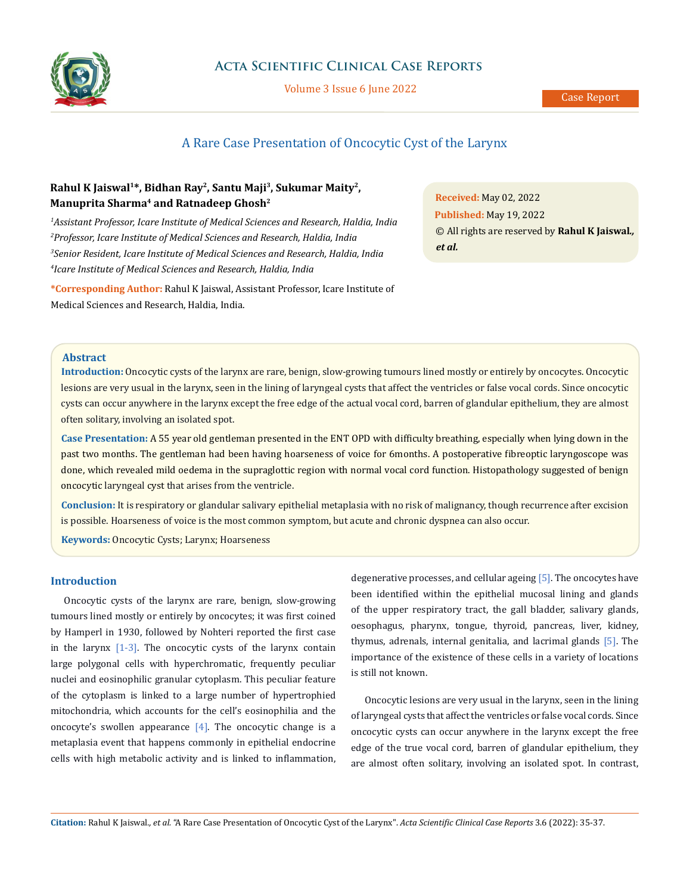

### **Acta Scientific Clinical Case Reports**

Volume 3 Issue 6 June 2022

# A Rare Case Presentation of Oncocytic Cyst of the Larynx

## **Rahul K Jaiswal1\*, Bidhan Ray2, Santu Maji3, Sukumar Maity2, Manuprita Sharma4 and Ratnadeep Ghosh2**

 *Assistant Professor, Icare Institute of Medical Sciences and Research, Haldia, India Professor, Icare Institute of Medical Sciences and Research, Haldia, India Senior Resident, Icare Institute of Medical Sciences and Research, Haldia, India Icare Institute of Medical Sciences and Research, Haldia, India*

**\*Corresponding Author:** Rahul K Jaiswal, Assistant Professor, Icare Institute of Medical Sciences and Research, Haldia, India.

**Received:** May 02, 2022 **Published:** May 19, 2022 © All rights are reserved by **Rahul K Jaiswal***., et al.*

#### **Abstract**

**Introduction:** Oncocytic cysts of the larynx are rare, benign, slow-growing tumours lined mostly or entirely by oncocytes. Oncocytic lesions are very usual in the larynx, seen in the lining of laryngeal cysts that affect the ventricles or false vocal cords. Since oncocytic cysts can occur anywhere in the larynx except the free edge of the actual vocal cord, barren of glandular epithelium, they are almost often solitary, involving an isolated spot.

**Case Presentation:** A 55 year old gentleman presented in the ENT OPD with difficulty breathing, especially when lying down in the past two months. The gentleman had been having hoarseness of voice for 6months. A postoperative fibreoptic laryngoscope was done, which revealed mild oedema in the supraglottic region with normal vocal cord function. Histopathology suggested of benign oncocytic laryngeal cyst that arises from the ventricle.

**Conclusion:** It is respiratory or glandular salivary epithelial metaplasia with no risk of malignancy, though recurrence after excision is possible. Hoarseness of voice is the most common symptom, but acute and chronic dyspnea can also occur.

**Keywords:** Oncocytic Cysts; Larynx; Hoarseness

### **Introduction**

Oncocytic cysts of the larynx are rare, benign, slow-growing tumours lined mostly or entirely by oncocytes; it was first coined by Hamperl in 1930, followed by Nohteri reported the first case in the larynx  $[1-3]$ . The oncocytic cysts of the larynx contain large polygonal cells with hyperchromatic, frequently peculiar nuclei and eosinophilic granular cytoplasm. This peculiar feature of the cytoplasm is linked to a large number of hypertrophied mitochondria, which accounts for the cell's eosinophilia and the oncocyte's swollen appearance  $[4]$ . The oncocytic change is a metaplasia event that happens commonly in epithelial endocrine cells with high metabolic activity and is linked to inflammation, degenerative processes, and cellular ageing [5]. The oncocytes have been identified within the epithelial mucosal lining and glands of the upper respiratory tract, the gall bladder, salivary glands, oesophagus, pharynx, tongue, thyroid, pancreas, liver, kidney, thymus, adrenals, internal genitalia, and lacrimal glands [5]. The importance of the existence of these cells in a variety of locations is still not known.

Oncocytic lesions are very usual in the larynx, seen in the lining of laryngeal cysts that affect the ventricles or false vocal cords. Since oncocytic cysts can occur anywhere in the larynx except the free edge of the true vocal cord, barren of glandular epithelium, they are almost often solitary, involving an isolated spot. In contrast,

**Citation:** Rahul K Jaiswal*., et al.* "A Rare Case Presentation of Oncocytic Cyst of the Larynx". *Acta Scientific Clinical Case Reports* 3.6 (2022): 35-37.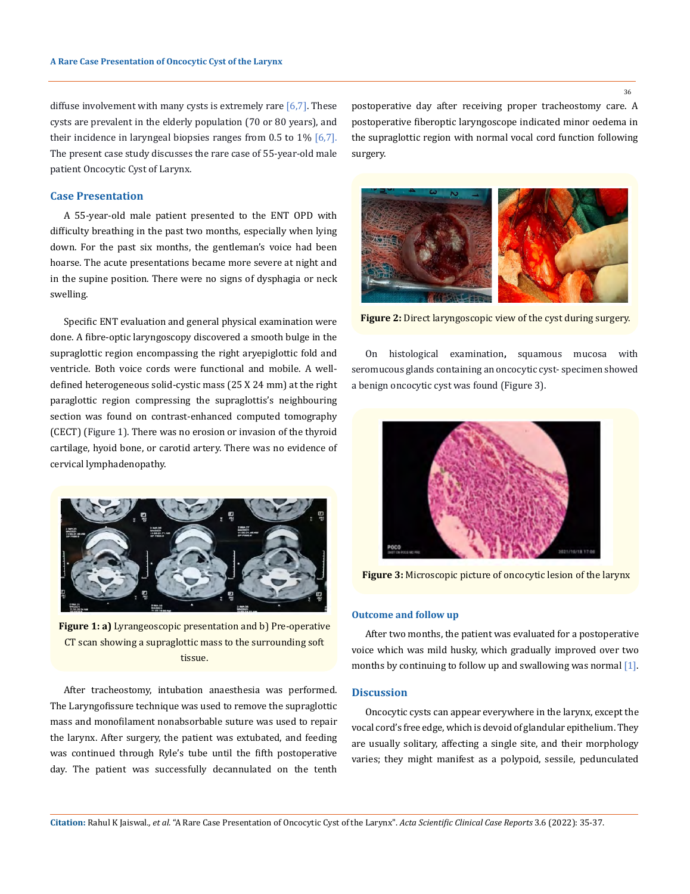diffuse involvement with many cysts is extremely rare  $[6,7]$ . These cysts are prevalent in the elderly population (70 or 80 years), and their incidence in laryngeal biopsies ranges from  $0.5$  to  $1\%$  [6,7]. The present case study discusses the rare case of 55-year-old male patient Oncocytic Cyst of Larynx.

#### **Case Presentation**

A 55-year-old male patient presented to the ENT OPD with difficulty breathing in the past two months, especially when lying down. For the past six months, the gentleman's voice had been hoarse. The acute presentations became more severe at night and in the supine position. There were no signs of dysphagia or neck swelling.

Specific ENT evaluation and general physical examination were done. A fibre-optic laryngoscopy discovered a smooth bulge in the supraglottic region encompassing the right aryepiglottic fold and ventricle. Both voice cords were functional and mobile. A welldefined heterogeneous solid-cystic mass (25 X 24 mm) at the right paraglottic region compressing the supraglottis's neighbouring section was found on contrast-enhanced computed tomography (CECT) (Figure 1). There was no erosion or invasion of the thyroid cartilage, hyoid bone, or carotid artery. There was no evidence of cervical lymphadenopathy.



**Figure 1: a)** Lyrangeoscopic presentation and b) Pre-operative CT scan showing a supraglottic mass to the surrounding soft tissue.

After tracheostomy, intubation anaesthesia was performed. The Laryngofissure technique was used to remove the supraglottic mass and monofilament nonabsorbable suture was used to repair the larynx. After surgery, the patient was extubated, and feeding was continued through Ryle's tube until the fifth postoperative day. The patient was successfully decannulated on the tenth

postoperative day after receiving proper tracheostomy care. A postoperative fiberoptic laryngoscope indicated minor oedema in the supraglottic region with normal vocal cord function following surgery.



**Figure 2:** Direct laryngoscopic view of the cyst during surgery.

On histological examination**,** squamous mucosa with seromucous glands containing an oncocytic cyst- specimen showed a benign oncocytic cyst was found (Figure 3).



**Figure 3:** Microscopic picture of oncocytic lesion of the larynx

#### **Outcome and follow up**

After two months, the patient was evaluated for a postoperative voice which was mild husky, which gradually improved over two months by continuing to follow up and swallowing was normal [1].

### **Discussion**

Oncocytic cysts can appear everywhere in the larynx, except the vocal cord's free edge, which is devoid of glandular epithelium. They are usually solitary, affecting a single site, and their morphology varies; they might manifest as a polypoid, sessile, pedunculated

36